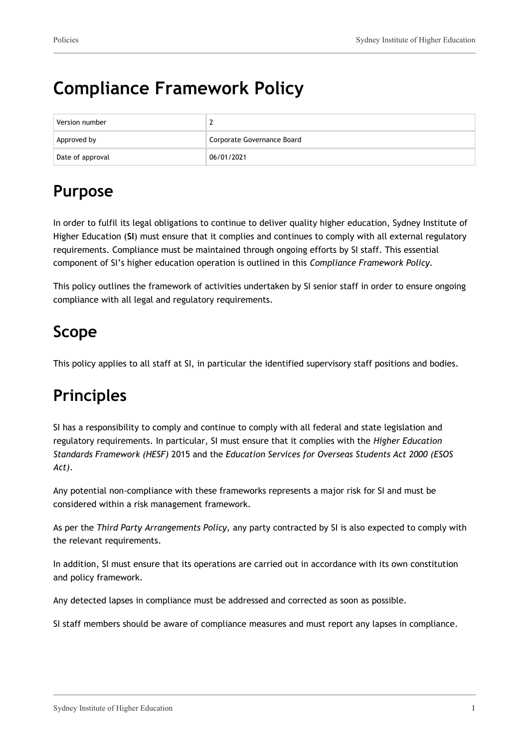# **Compliance Framework Policy**

| Version number   |                            |
|------------------|----------------------------|
| Approved by      | Corporate Governance Board |
| Date of approval | 06/01/2021                 |

### **Purpose**

In order to fulfil its legal obligations to continue to deliver quality higher education, Sydney Institute of Higher Education (**SI**) must ensure that it complies and continues to comply with all external regulatory requirements. Compliance must be maintained through ongoing efforts by SI staff. This essential component of SI's higher education operation is outlined in this *Compliance Framework Policy.*

This policy outlines the framework of activities undertaken by SI senior staff in order to ensure ongoing compliance with all legal and regulatory requirements.

### **Scope**

This policy applies to all staff at SI, in particular the identified supervisory staff positions and bodies.

### **Principles**

SI has a responsibility to comply and continue to comply with all federal and state legislation and regulatory requirements. In particular, SI must ensure that it complies with the *Higher Education Standards Framework (HESF)* 2015 and the *Education Services for Overseas Students Act 2000 (ESOS Act)*.

Any potential non-compliance with these frameworks represents a major risk for SI and must be considered within a risk management framework.

As per the *Third Party Arrangements Policy,* any party contracted by SI is also expected to comply with the relevant requirements.

In addition, SI must ensure that its operations are carried out in accordance with its own constitution and policy framework.

Any detected lapses in compliance must be addressed and corrected as soon as possible.

SI staff members should be aware of compliance measures and must report any lapses in compliance.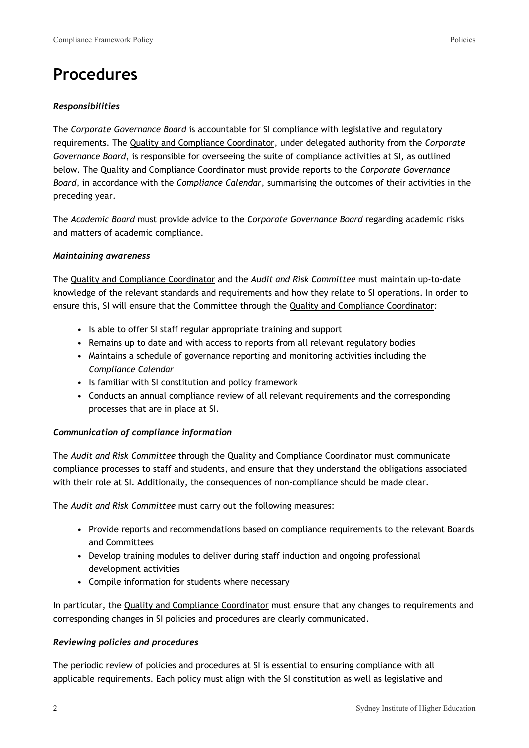### **Procedures**

#### *Responsibilities*

The *Corporate Governance Board* is accountable for SI compliance with legislative and regulatory requirements. The Quality and Compliance Coordinator, under delegated authority from the *Corporate Governance Board*, is responsible for overseeing the suite of compliance activities at SI, as outlined below. The Quality and Compliance Coordinator must provide reports to the *Corporate Governance Board*, in accordance with the *Compliance Calendar*, summarising the outcomes of their activities in the preceding year.

The *Academic Board* must provide advice to the *Corporate Governance Board* regarding academic risks and matters of academic compliance.

#### *Maintaining awareness*

The Quality and Compliance Coordinator and the *Audit and Risk Committee* must maintain up-to-date knowledge of the relevant standards and requirements and how they relate to SI operations. In order to ensure this, SI will ensure that the Committee through the Quality and Compliance Coordinator:

- Is able to offer SI staff regular appropriate training and support
- Remains up to date and with access to reports from all relevant regulatory bodies
- Maintains a schedule of governance reporting and monitoring activities including the *Compliance Calendar*
- Is familiar with SI constitution and policy framework
- Conducts an annual compliance review of all relevant requirements and the corresponding processes that are in place at SI.

#### *Communication of compliance information*

The *Audit and Risk Committee* through the Quality and Compliance Coordinator must communicate compliance processes to staff and students, and ensure that they understand the obligations associated with their role at SI. Additionally, the consequences of non-compliance should be made clear.

The *Audit and Risk Committee* must carry out the following measures:

- Provide reports and recommendations based on compliance requirements to the relevant Boards and Committees
- Develop training modules to deliver during staff induction and ongoing professional development activities
- Compile information for students where necessary

In particular, the Quality and Compliance Coordinator must ensure that any changes to requirements and corresponding changes in SI policies and procedures are clearly communicated.

#### *Reviewing policies and procedures*

The periodic review of policies and procedures at SI is essential to ensuring compliance with all applicable requirements. Each policy must align with the SI constitution as well as legislative and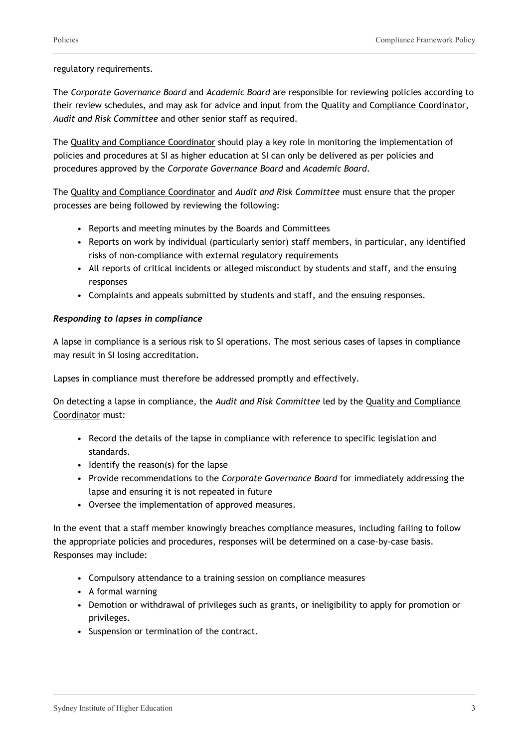#### regulatory requirements.

The *Corporate Governance Board* and *Academic Board* are responsible for reviewing policies according to their review schedules, and may ask for advice and input from the Quality and Compliance Coordinator, *Audit and Risk Committee* and other senior staff as required.

The Quality and Compliance Coordinator should play a key role in monitoring the implementation of policies and procedures at SI as higher education at SI can only be delivered as per policies and procedures approved by the *Corporate Governance Board* and *Academic Board*.

The Quality and Compliance Coordinator and *Audit and Risk Committee* must ensure that the proper processes are being followed by reviewing the following:

- Reports and meeting minutes by the Boards and Committees
- Reports on work by individual (particularly senior) staff members, in particular, any identified risks of non-compliance with external regulatory requirements
- All reports of critical incidents or alleged misconduct by students and staff, and the ensuing responses
- Complaints and appeals submitted by students and staff, and the ensuing responses.

#### *Responding to lapses in compliance*

A lapse in compliance is a serious risk to SI operations. The most serious cases of lapses in compliance may result in SI losing accreditation.

Lapses in compliance must therefore be addressed promptly and effectively.

On detecting a lapse in compliance, the *Audit and Risk Committee* led by the Quality and Compliance Coordinator must:

- Record the details of the lapse in compliance with reference to specific legislation and standards.
- Identify the reason(s) for the lapse
- Provide recommendations to the *Corporate Governance Board* for immediately addressing the lapse and ensuring it is not repeated in future
- Oversee the implementation of approved measures.

In the event that a staff member knowingly breaches compliance measures, including failing to follow the appropriate policies and procedures, responses will be determined on a case-by-case basis. Responses may include:

- Compulsory attendance to a training session on compliance measures
- A formal warning
- Demotion or withdrawal of privileges such as grants, or ineligibility to apply for promotion or privileges.
- Suspension or termination of the contract.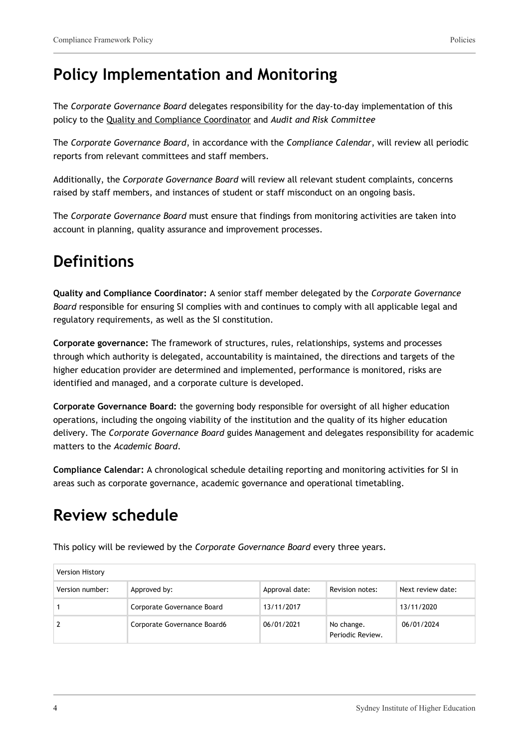### **Policy Implementation and Monitoring**

The *Corporate Governance Board* delegates responsibility for the day-to-day implementation of this policy to the Quality and Compliance Coordinator and *Audit and Risk Committee*

The *Corporate Governance Board*, in accordance with the *Compliance Calendar*, will review all periodic reports from relevant committees and staff members.

Additionally, the *Corporate Governance Board* will review all relevant student complaints, concerns raised by staff members, and instances of student or staff misconduct on an ongoing basis.

The *Corporate Governance Board* must ensure that findings from monitoring activities are taken into account in planning, quality assurance and improvement processes.

### **Definitions**

**Quality and Compliance Coordinator:** A senior staff member delegated by the *Corporate Governance Board* responsible for ensuring SI complies with and continues to comply with all applicable legal and regulatory requirements, as well as the SI constitution.

**Corporate governance:** The framework of structures, rules, relationships, systems and processes through which authority is delegated, accountability is maintained, the directions and targets of the higher education provider are determined and implemented, performance is monitored, risks are identified and managed, and a corporate culture is developed.

**Corporate Governance Board:** the governing body responsible for oversight of all higher education operations, including the ongoing viability of the institution and the quality of its higher education delivery. The *Corporate Governance Board* guides Management and delegates responsibility for academic matters to the *Academic Board*.

**Compliance Calendar:** A chronological schedule detailing reporting and monitoring activities for SI in areas such as corporate governance, academic governance and operational timetabling.

## **Review schedule**

This policy will be reviewed by the *Corporate Governance Board* every three years.

| Version History |                             |                |                                |                   |
|-----------------|-----------------------------|----------------|--------------------------------|-------------------|
| Version number: | Approved by:                | Approval date: | Revision notes:                | Next review date: |
|                 | Corporate Governance Board  | 13/11/2017     |                                | 13/11/2020        |
|                 | Corporate Governance Board6 | 06/01/2021     | No change.<br>Periodic Review. | 06/01/2024        |